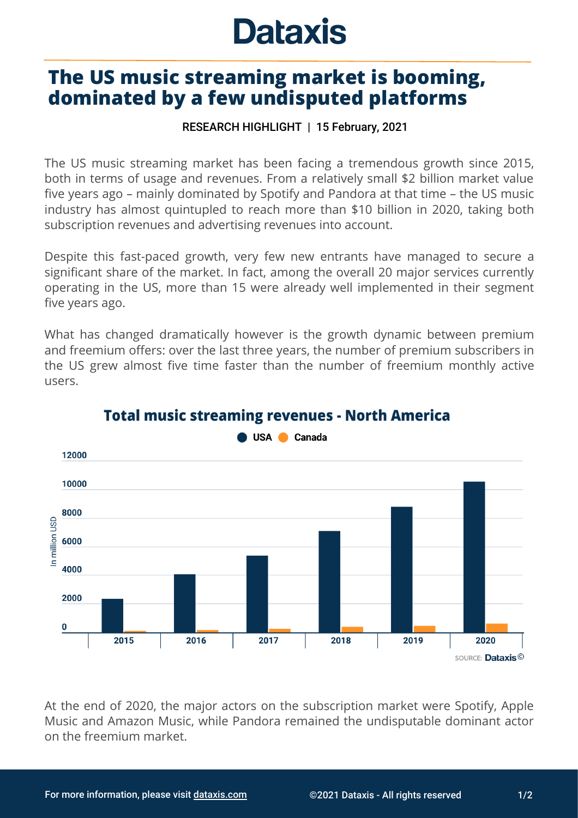## **Dataxis**

## **The US music streaming market is booming, dominated by a few undisputed platforms**

## RESEARCH HIGHLIGHT | 15 February, 2021

The US music streaming market has been facing a tremendous growth since 2015, both in terms of usage and revenues. From a relatively small \$2 billion market value five years ago – mainly dominated by Spotify and Pandora at that time – the US music industry has almost quintupled to reach more than \$10 billion in 2020, taking both subscription revenues and advertising revenues into account.

Despite this fast-paced growth, very few new entrants have managed to secure a significant share of the market. In fact, among the overall 20 major services currently operating in the US, more than 15 were already well implemented in their segment five years ago.

What has changed dramatically however is the growth dynamic between premium and freemium offers: over the last three years, the number of premium subscribers in the US grew almost five time faster than the number of freemium monthly active users.



## **Total music streaming revenues - North America**

**USA** Canada

At the end of 2020, the major actors on the subscription market were Spotify, Apple Music and Amazon Music, while Pandora remained the undisputable dominant actor on the freemium market.